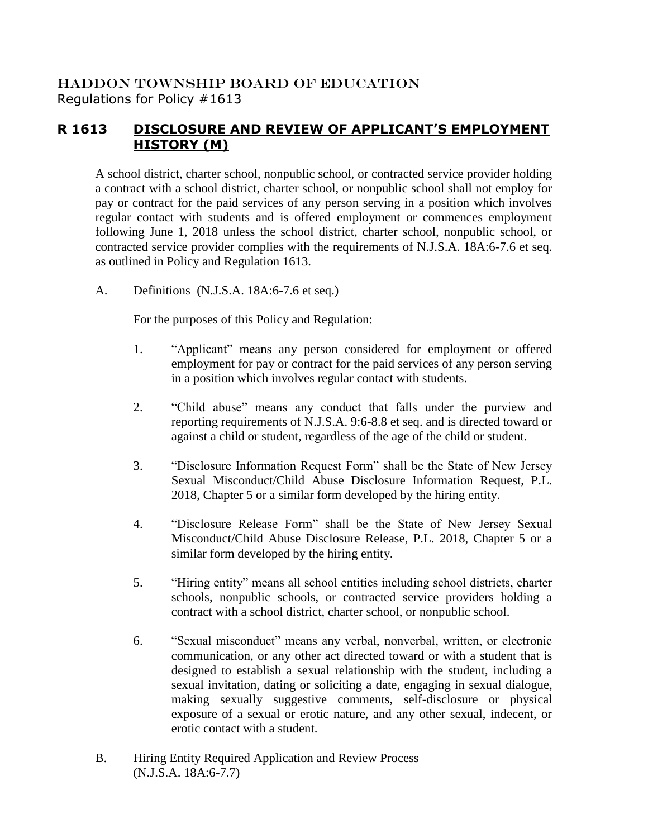## HADDON TOWNSHIP BOARD OF EDUCATION Regulations for Policy #1613

## **R 1613 DISCLOSURE AND REVIEW OF APPLICANT'S EMPLOYMENT HISTORY (M)**

A school district, charter school, nonpublic school, or contracted service provider holding a contract with a school district, charter school, or nonpublic school shall not employ for pay or contract for the paid services of any person serving in a position which involves regular contact with students and is offered employment or commences employment following June 1, 2018 unless the school district, charter school, nonpublic school, or contracted service provider complies with the requirements of N.J.S.A. 18A:6-7.6 et seq. as outlined in Policy and Regulation 1613.

A. Definitions (N.J.S.A. 18A:6-7.6 et seq.)

For the purposes of this Policy and Regulation:

- 1. "Applicant" means any person considered for employment or offered employment for pay or contract for the paid services of any person serving in a position which involves regular contact with students.
- 2. "Child abuse" means any conduct that falls under the purview and reporting requirements of N.J.S.A. 9:6-8.8 et seq. and is directed toward or against a child or student, regardless of the age of the child or student.
- 3. "Disclosure Information Request Form" shall be the State of New Jersey Sexual Misconduct/Child Abuse Disclosure Information Request, P.L. 2018, Chapter 5 or a similar form developed by the hiring entity.
- 4. "Disclosure Release Form" shall be the State of New Jersey Sexual Misconduct/Child Abuse Disclosure Release, P.L. 2018, Chapter 5 or a similar form developed by the hiring entity.
- 5. "Hiring entity" means all school entities including school districts, charter schools, nonpublic schools, or contracted service providers holding a contract with a school district, charter school, or nonpublic school.
- 6. "Sexual misconduct" means any verbal, nonverbal, written, or electronic communication, or any other act directed toward or with a student that is designed to establish a sexual relationship with the student, including a sexual invitation, dating or soliciting a date, engaging in sexual dialogue, making sexually suggestive comments, self-disclosure or physical exposure of a sexual or erotic nature, and any other sexual, indecent, or erotic contact with a student.
- B. Hiring Entity Required Application and Review Process (N.J.S.A. 18A:6-7.7)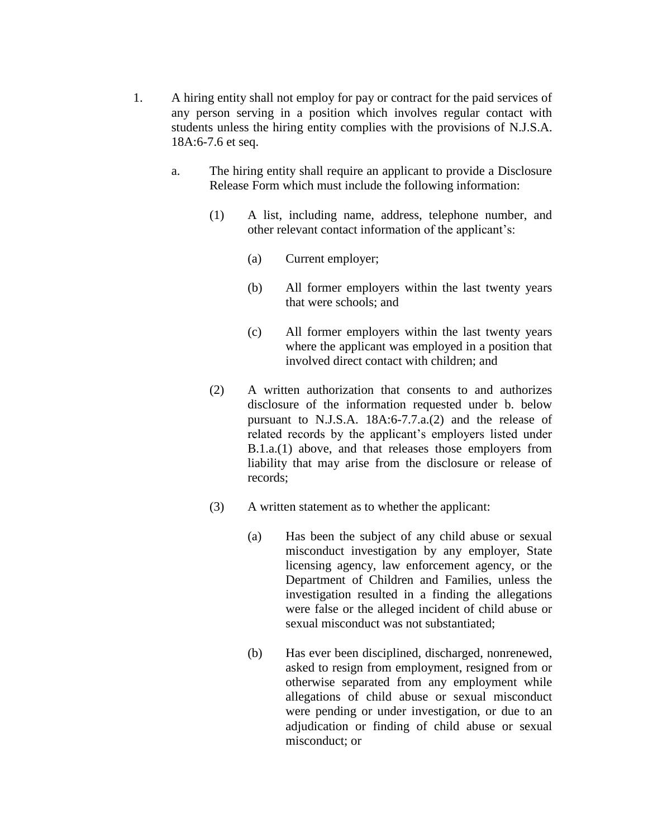- 1. A hiring entity shall not employ for pay or contract for the paid services of any person serving in a position which involves regular contact with students unless the hiring entity complies with the provisions of N.J.S.A. 18A:6-7.6 et seq.
	- a. The hiring entity shall require an applicant to provide a Disclosure Release Form which must include the following information:
		- (1) A list, including name, address, telephone number, and other relevant contact information of the applicant's:
			- (a) Current employer;
			- (b) All former employers within the last twenty years that were schools; and
			- (c) All former employers within the last twenty years where the applicant was employed in a position that involved direct contact with children; and
		- (2) A written authorization that consents to and authorizes disclosure of the information requested under b. below pursuant to N.J.S.A. 18A:6-7.7.a.(2) and the release of related records by the applicant's employers listed under B.1.a.(1) above, and that releases those employers from liability that may arise from the disclosure or release of records;
		- (3) A written statement as to whether the applicant:
			- (a) Has been the subject of any child abuse or sexual misconduct investigation by any employer, State licensing agency, law enforcement agency, or the Department of Children and Families, unless the investigation resulted in a finding the allegations were false or the alleged incident of child abuse or sexual misconduct was not substantiated;
			- (b) Has ever been disciplined, discharged, nonrenewed, asked to resign from employment, resigned from or otherwise separated from any employment while allegations of child abuse or sexual misconduct were pending or under investigation, or due to an adjudication or finding of child abuse or sexual misconduct; or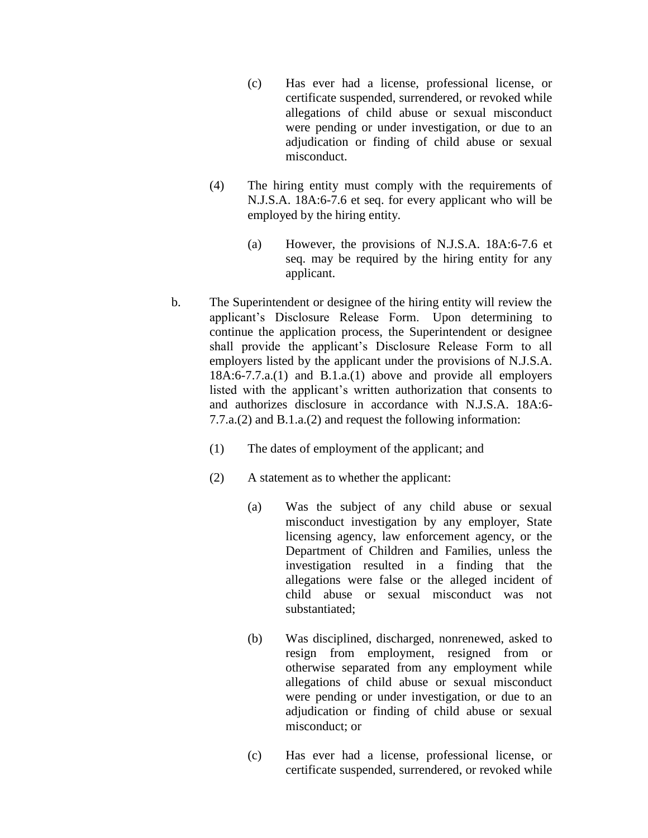- (c) Has ever had a license, professional license, or certificate suspended, surrendered, or revoked while allegations of child abuse or sexual misconduct were pending or under investigation, or due to an adjudication or finding of child abuse or sexual misconduct.
- (4) The hiring entity must comply with the requirements of N.J.S.A. 18A:6-7.6 et seq. for every applicant who will be employed by the hiring entity.
	- (a) However, the provisions of N.J.S.A. 18A:6-7.6 et seq. may be required by the hiring entity for any applicant.
- b. The Superintendent or designee of the hiring entity will review the applicant's Disclosure Release Form. Upon determining to continue the application process, the Superintendent or designee shall provide the applicant's Disclosure Release Form to all employers listed by the applicant under the provisions of N.J.S.A. 18A:6-7.7.a.(1) and B.1.a.(1) above and provide all employers listed with the applicant's written authorization that consents to and authorizes disclosure in accordance with N.J.S.A. 18A:6- 7.7.a.(2) and B.1.a.(2) and request the following information:
	- (1) The dates of employment of the applicant; and
	- (2) A statement as to whether the applicant:
		- (a) Was the subject of any child abuse or sexual misconduct investigation by any employer, State licensing agency, law enforcement agency, or the Department of Children and Families, unless the investigation resulted in a finding that the allegations were false or the alleged incident of child abuse or sexual misconduct was not substantiated;
		- (b) Was disciplined, discharged, nonrenewed, asked to resign from employment, resigned from or otherwise separated from any employment while allegations of child abuse or sexual misconduct were pending or under investigation, or due to an adjudication or finding of child abuse or sexual misconduct; or
		- (c) Has ever had a license, professional license, or certificate suspended, surrendered, or revoked while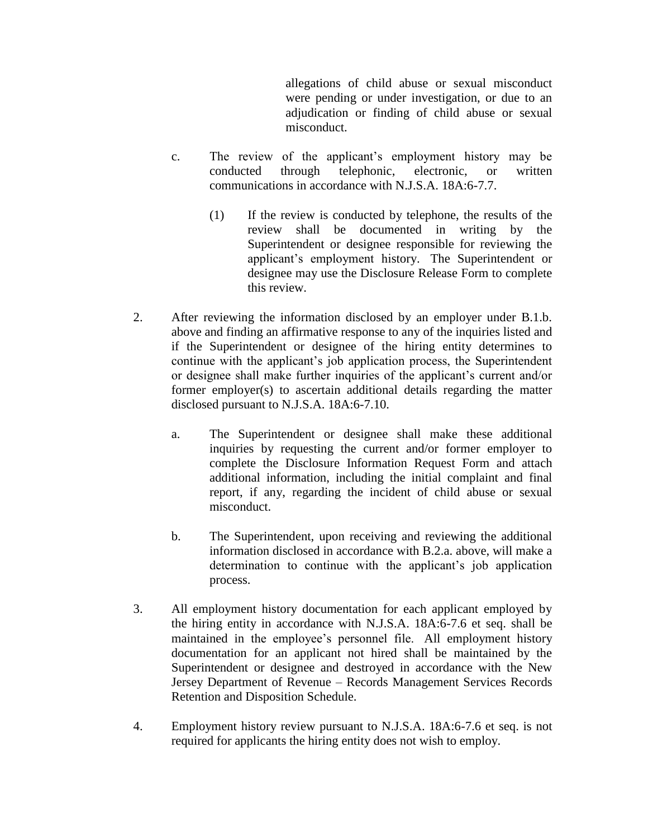allegations of child abuse or sexual misconduct were pending or under investigation, or due to an adjudication or finding of child abuse or sexual misconduct.

- c. The review of the applicant's employment history may be conducted through telephonic, electronic, or written communications in accordance with N.J.S.A. 18A:6-7.7.
	- (1) If the review is conducted by telephone, the results of the review shall be documented in writing by the Superintendent or designee responsible for reviewing the applicant's employment history. The Superintendent or designee may use the Disclosure Release Form to complete this review.
- 2. After reviewing the information disclosed by an employer under B.1.b. above and finding an affirmative response to any of the inquiries listed and if the Superintendent or designee of the hiring entity determines to continue with the applicant's job application process, the Superintendent or designee shall make further inquiries of the applicant's current and/or former employer(s) to ascertain additional details regarding the matter disclosed pursuant to N.J.S.A. 18A:6-7.10.
	- a. The Superintendent or designee shall make these additional inquiries by requesting the current and/or former employer to complete the Disclosure Information Request Form and attach additional information, including the initial complaint and final report, if any, regarding the incident of child abuse or sexual misconduct.
	- b. The Superintendent, upon receiving and reviewing the additional information disclosed in accordance with B.2.a. above, will make a determination to continue with the applicant's job application process.
- 3. All employment history documentation for each applicant employed by the hiring entity in accordance with N.J.S.A. 18A:6-7.6 et seq. shall be maintained in the employee's personnel file. All employment history documentation for an applicant not hired shall be maintained by the Superintendent or designee and destroyed in accordance with the New Jersey Department of Revenue – Records Management Services Records Retention and Disposition Schedule.
- 4. Employment history review pursuant to N.J.S.A. 18A:6-7.6 et seq. is not required for applicants the hiring entity does not wish to employ.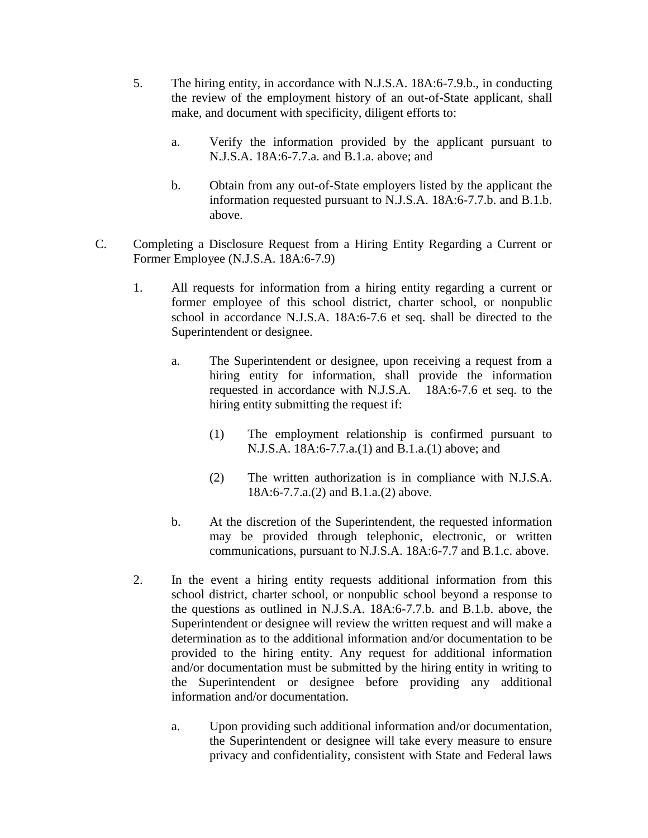- 5. The hiring entity, in accordance with N.J.S.A. 18A:6-7.9.b., in conducting the review of the employment history of an out-of-State applicant, shall make, and document with specificity, diligent efforts to:
	- a. Verify the information provided by the applicant pursuant to N.J.S.A. 18A:6-7.7.a. and B.1.a. above; and
	- b. Obtain from any out-of-State employers listed by the applicant the information requested pursuant to N.J.S.A. 18A:6-7.7.b. and B.1.b. above.
- C. Completing a Disclosure Request from a Hiring Entity Regarding a Current or Former Employee (N.J.S.A. 18A:6-7.9)
	- 1. All requests for information from a hiring entity regarding a current or former employee of this school district, charter school, or nonpublic school in accordance N.J.S.A. 18A:6-7.6 et seq. shall be directed to the Superintendent or designee.
		- a. The Superintendent or designee, upon receiving a request from a hiring entity for information, shall provide the information requested in accordance with N.J.S.A. 18A:6-7.6 et seq. to the hiring entity submitting the request if:
			- (1) The employment relationship is confirmed pursuant to N.J.S.A. 18A:6-7.7.a.(1) and B.1.a.(1) above; and
			- (2) The written authorization is in compliance with N.J.S.A. 18A:6-7.7.a.(2) and B.1.a.(2) above.
		- b. At the discretion of the Superintendent, the requested information may be provided through telephonic, electronic, or written communications, pursuant to N.J.S.A. 18A:6-7.7 and B.1.c. above.
	- 2. In the event a hiring entity requests additional information from this school district, charter school, or nonpublic school beyond a response to the questions as outlined in N.J.S.A. 18A:6-7.7.b. and B.1.b. above, the Superintendent or designee will review the written request and will make a determination as to the additional information and/or documentation to be provided to the hiring entity. Any request for additional information and/or documentation must be submitted by the hiring entity in writing to the Superintendent or designee before providing any additional information and/or documentation.
		- a. Upon providing such additional information and/or documentation, the Superintendent or designee will take every measure to ensure privacy and confidentiality, consistent with State and Federal laws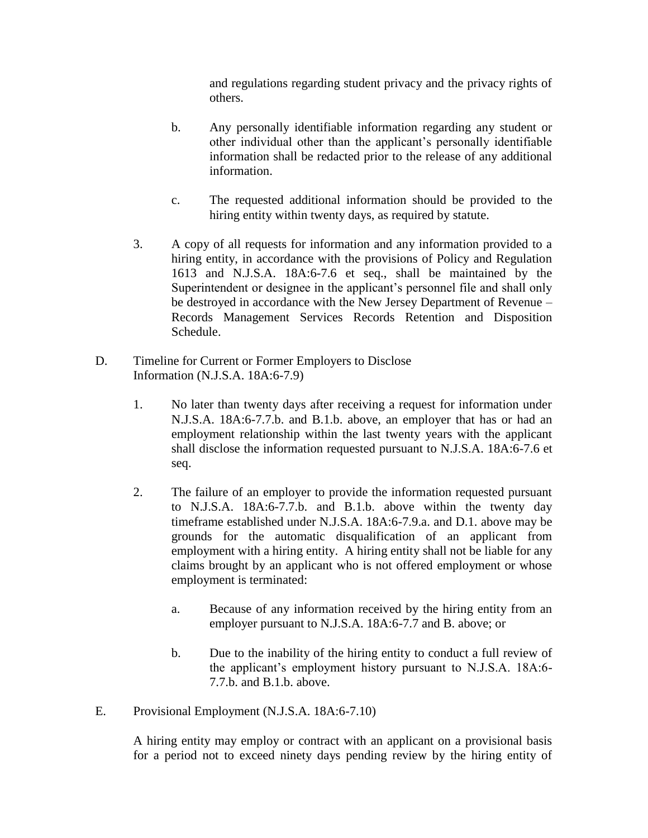and regulations regarding student privacy and the privacy rights of others.

- b. Any personally identifiable information regarding any student or other individual other than the applicant's personally identifiable information shall be redacted prior to the release of any additional information.
- c. The requested additional information should be provided to the hiring entity within twenty days, as required by statute.
- 3. A copy of all requests for information and any information provided to a hiring entity, in accordance with the provisions of Policy and Regulation 1613 and N.J.S.A. 18A:6-7.6 et seq., shall be maintained by the Superintendent or designee in the applicant's personnel file and shall only be destroyed in accordance with the New Jersey Department of Revenue – Records Management Services Records Retention and Disposition Schedule.
- D. Timeline for Current or Former Employers to Disclose Information (N.J.S.A. 18A:6-7.9)
	- 1. No later than twenty days after receiving a request for information under N.J.S.A. 18A:6-7.7.b. and B.1.b. above, an employer that has or had an employment relationship within the last twenty years with the applicant shall disclose the information requested pursuant to N.J.S.A. 18A:6-7.6 et seq.
	- 2. The failure of an employer to provide the information requested pursuant to N.J.S.A. 18A:6-7.7.b. and B.1.b. above within the twenty day timeframe established under N.J.S.A. 18A:6-7.9.a. and D.1. above may be grounds for the automatic disqualification of an applicant from employment with a hiring entity. A hiring entity shall not be liable for any claims brought by an applicant who is not offered employment or whose employment is terminated:
		- a. Because of any information received by the hiring entity from an employer pursuant to N.J.S.A. 18A:6-7.7 and B. above; or
		- b. Due to the inability of the hiring entity to conduct a full review of the applicant's employment history pursuant to N.J.S.A. 18A:6- 7.7.b. and B.1.b. above.
- E. Provisional Employment (N.J.S.A. 18A:6-7.10)

A hiring entity may employ or contract with an applicant on a provisional basis for a period not to exceed ninety days pending review by the hiring entity of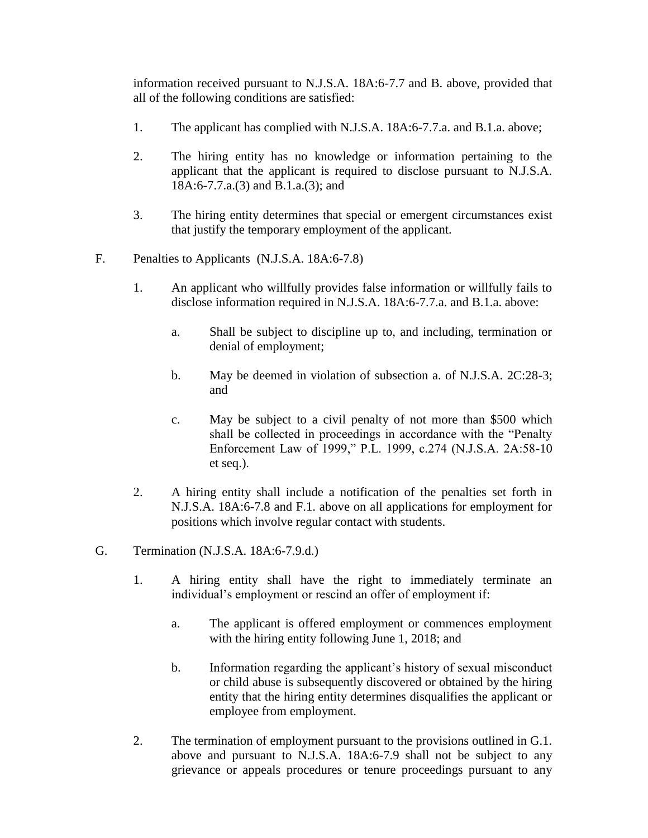information received pursuant to N.J.S.A. 18A:6-7.7 and B. above, provided that all of the following conditions are satisfied:

- 1. The applicant has complied with N.J.S.A. 18A:6-7.7.a. and B.1.a. above;
- 2. The hiring entity has no knowledge or information pertaining to the applicant that the applicant is required to disclose pursuant to N.J.S.A. 18A:6-7.7.a.(3) and B.1.a.(3); and
- 3. The hiring entity determines that special or emergent circumstances exist that justify the temporary employment of the applicant.
- F. Penalties to Applicants (N.J.S.A. 18A:6-7.8)
	- 1. An applicant who willfully provides false information or willfully fails to disclose information required in N.J.S.A. 18A:6-7.7.a. and B.1.a. above:
		- a. Shall be subject to discipline up to, and including, termination or denial of employment;
		- b. May be deemed in violation of subsection a. of N.J.S.A. 2C:28-3; and
		- c. May be subject to a civil penalty of not more than \$500 which shall be collected in proceedings in accordance with the "Penalty Enforcement Law of 1999," P.L. 1999, c.274 (N.J.S.A. 2A:58-10 et seq.).
	- 2. A hiring entity shall include a notification of the penalties set forth in N.J.S.A. 18A:6-7.8 and F.1. above on all applications for employment for positions which involve regular contact with students.
- G. Termination (N.J.S.A. 18A:6-7.9.d.)
	- 1. A hiring entity shall have the right to immediately terminate an individual's employment or rescind an offer of employment if:
		- a. The applicant is offered employment or commences employment with the hiring entity following June 1, 2018; and
		- b. Information regarding the applicant's history of sexual misconduct or child abuse is subsequently discovered or obtained by the hiring entity that the hiring entity determines disqualifies the applicant or employee from employment.
	- 2. The termination of employment pursuant to the provisions outlined in G.1. above and pursuant to N.J.S.A. 18A:6-7.9 shall not be subject to any grievance or appeals procedures or tenure proceedings pursuant to any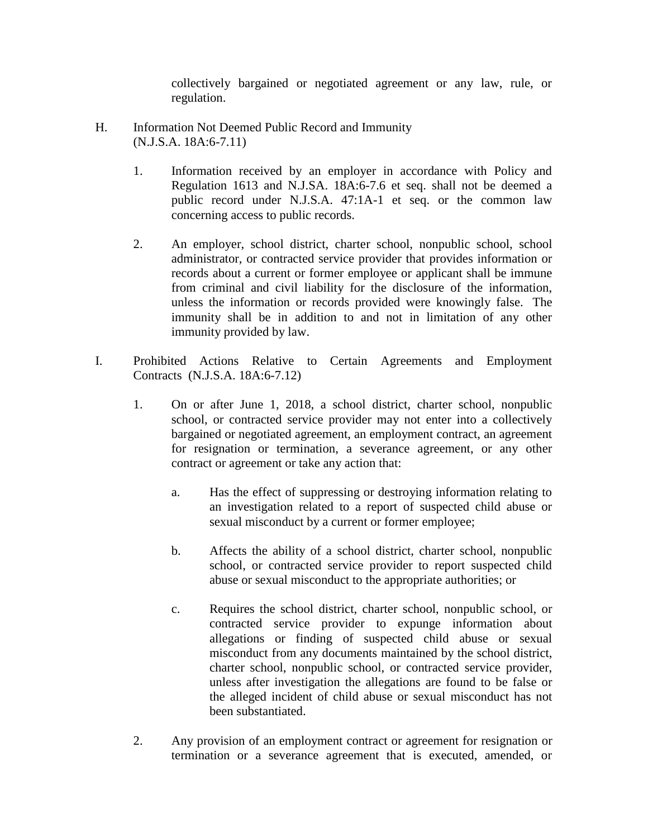collectively bargained or negotiated agreement or any law, rule, or regulation.

- H. Information Not Deemed Public Record and Immunity (N.J.S.A. 18A:6-7.11)
	- 1. Information received by an employer in accordance with Policy and Regulation 1613 and N.J.SA. 18A:6-7.6 et seq. shall not be deemed a public record under N.J.S.A. 47:1A-1 et seq. or the common law concerning access to public records.
	- 2. An employer, school district, charter school, nonpublic school, school administrator, or contracted service provider that provides information or records about a current or former employee or applicant shall be immune from criminal and civil liability for the disclosure of the information, unless the information or records provided were knowingly false. The immunity shall be in addition to and not in limitation of any other immunity provided by law.
- I. Prohibited Actions Relative to Certain Agreements and Employment Contracts (N.J.S.A. 18A:6-7.12)
	- 1. On or after June 1, 2018, a school district, charter school, nonpublic school, or contracted service provider may not enter into a collectively bargained or negotiated agreement, an employment contract, an agreement for resignation or termination, a severance agreement, or any other contract or agreement or take any action that:
		- a. Has the effect of suppressing or destroying information relating to an investigation related to a report of suspected child abuse or sexual misconduct by a current or former employee;
		- b. Affects the ability of a school district, charter school, nonpublic school, or contracted service provider to report suspected child abuse or sexual misconduct to the appropriate authorities; or
		- c. Requires the school district, charter school, nonpublic school, or contracted service provider to expunge information about allegations or finding of suspected child abuse or sexual misconduct from any documents maintained by the school district, charter school, nonpublic school, or contracted service provider, unless after investigation the allegations are found to be false or the alleged incident of child abuse or sexual misconduct has not been substantiated.
	- 2. Any provision of an employment contract or agreement for resignation or termination or a severance agreement that is executed, amended, or